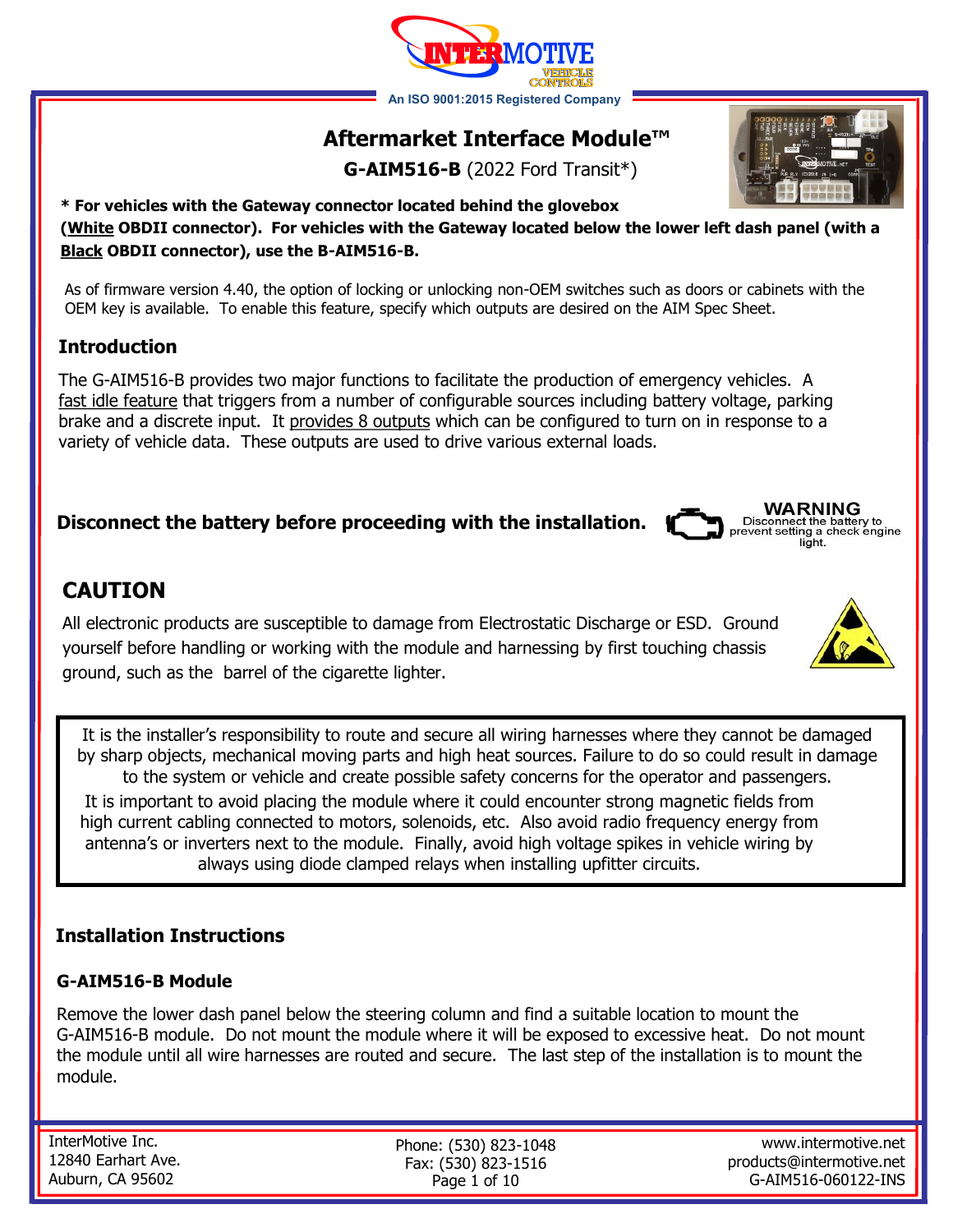# **Aftermarket Interface Module™**

**G-AIM516-B** (2022 Ford Transit\*)

### **\* For vehicles with the Gateway connector located behind the glovebox (White OBDII connector). For vehicles with the Gateway located below the lower left dash panel (with a Black OBDII connector), use the B-AIM516-B.**

As of firmware version 4.40, the option of locking or unlocking non-OEM switches such as doors or cabinets with the OEM key is available. To enable this feature, specify which outputs are desired on the AIM Spec Sheet.

# **Introduction**

The G-AIM516-B provides two major functions to facilitate the production of emergency vehicles. A fast idle feature that triggers from a number of configurable sources including battery voltage, parking brake and a discrete input. It provides 8 outputs which can be configured to turn on in response to a variety of vehicle data. These outputs are used to drive various external loads.

# **Disconnect the battery before proceeding with the installation.**

# **CAUTION**

All electronic products are susceptible to damage from Electrostatic Discharge or ESD. Ground yourself before handling or working with the module and harnessing by first touching chassis ground, such as the barrel of the cigarette lighter.

It is the installer's responsibility to route and secure all wiring harnesses where they cannot be damaged by sharp objects, mechanical moving parts and high heat sources. Failure to do so could result in damage to the system or vehicle and create possible safety concerns for the operator and passengers.

It is important to avoid placing the module where it could encounter strong magnetic fields from high current cabling connected to motors, solenoids, etc. Also avoid radio frequency energy from antenna's or inverters next to the module. Finally, avoid high voltage spikes in vehicle wiring by always using diode clamped relays when installing upfitter circuits.

## **Installation Instructions**

## **G-AIM516-B Module**

Remove the lower dash panel below the steering column and find a suitable location to mount the G-AIM516-B module. Do not mount the module where it will be exposed to excessive heat. Do not mount the module until all wire harnesses are routed and secure. The last step of the installation is to mount the module.

InterMotive Inc. 12840 Earhart Ave. Auburn, CA 95602

Phone: (530) 823-1048 Fax: (530) 823-1516 Page 1 of 10

www.intermotive.net products@intermotive.net G-AIM516-060122-INS









**WARNING** 

light.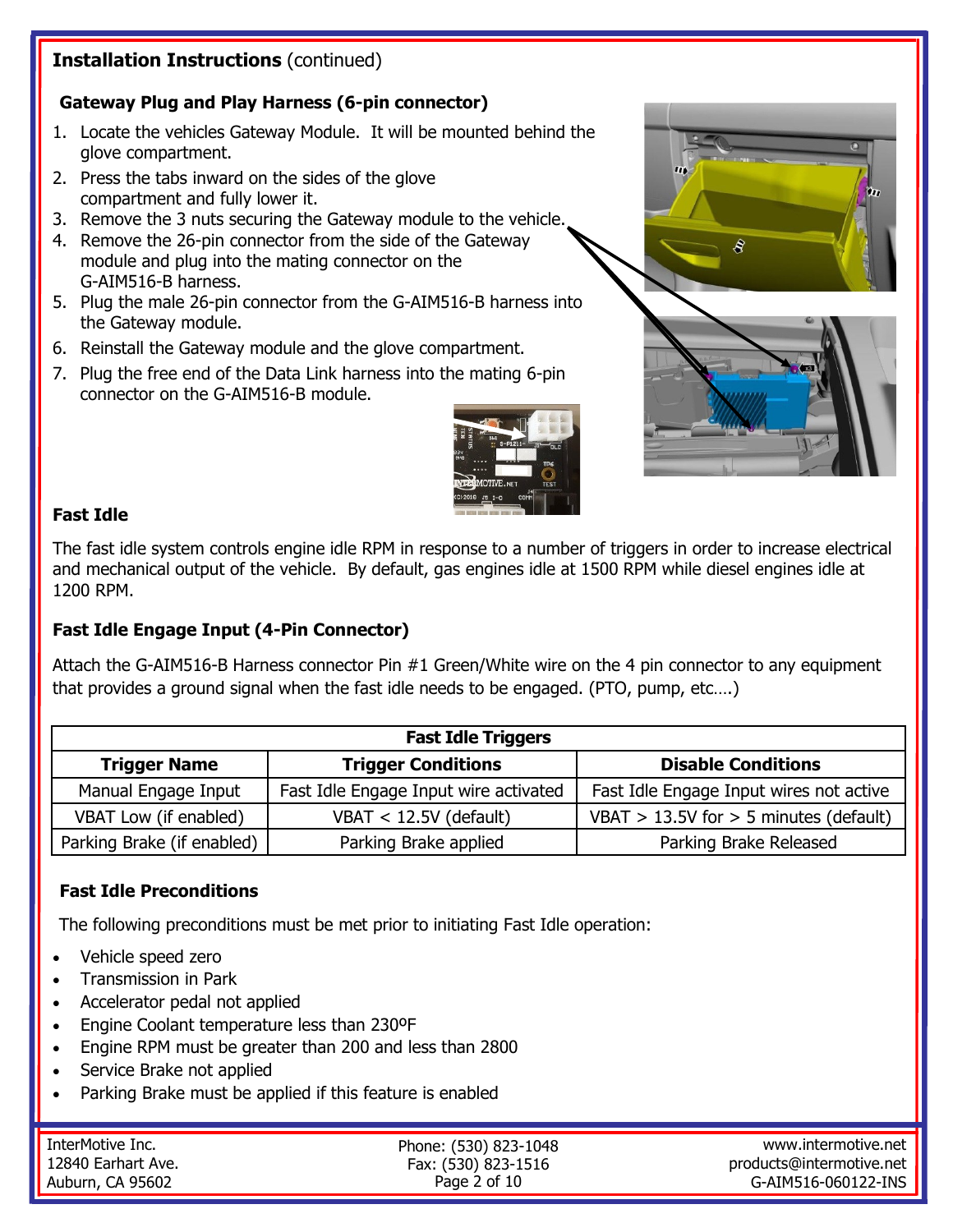# **Installation Instructions** (continued)

## **Gateway Plug and Play Harness (6-pin connector)**

- 1. Locate the vehicles Gateway Module. It will be mounted behind the glove compartment.
- 2. Press the tabs inward on the sides of the glove compartment and fully lower it.
- 3. Remove the 3 nuts securing the Gateway module to the vehicle.
- 4. Remove the 26-pin connector from the side of the Gateway module and plug into the mating connector on the G-AIM516-B harness.
- 5. Plug the male 26-pin connector from the G-AIM516-B harness into the Gateway module.
- 6. Reinstall the Gateway module and the glove compartment.
- 7. Plug the free end of the Data Link harness into the mating 6-pin connector on the G-AIM516-B module.







#### **Fast Idle**

The fast idle system controls engine idle RPM in response to a number of triggers in order to increase electrical and mechanical output of the vehicle. By default, gas engines idle at 1500 RPM while diesel engines idle at 1200 RPM.

### **Fast Idle Engage Input (4-Pin Connector)**

Attach the G-AIM516-B Harness connector Pin #1 Green/White wire on the 4 pin connector to any equipment that provides a ground signal when the fast idle needs to be engaged. (PTO, pump, etc….)

| <b>Fast Idle Triggers</b>  |                                       |                                            |  |
|----------------------------|---------------------------------------|--------------------------------------------|--|
| <b>Trigger Name</b>        | <b>Trigger Conditions</b>             | <b>Disable Conditions</b>                  |  |
| Manual Engage Input        | Fast Idle Engage Input wire activated | Fast Idle Engage Input wires not active    |  |
| VBAT Low (if enabled)      | VBAT $<$ 12.5V (default)              | VBAT $> 13.5V$ for $> 5$ minutes (default) |  |
| Parking Brake (if enabled) | Parking Brake applied                 | Parking Brake Released                     |  |

### **Fast Idle Preconditions**

The following preconditions must be met prior to initiating Fast Idle operation:

- Vehicle speed zero
- Transmission in Park
- Accelerator pedal not applied
- Engine Coolant temperature less than 230ºF
- Engine RPM must be greater than 200 and less than 2800
- Service Brake not applied
- Parking Brake must be applied if this feature is enabled

| InterMotive Inc.   | Phone: (530) 823-1048 | www.intermotive.net      |
|--------------------|-----------------------|--------------------------|
| 12840 Earhart Ave. | Fax: (530) 823-1516   | products@intermotive.net |
| Auburn, CA 95602   | Page 2 of 10          | G-AIM516-060122-INS      |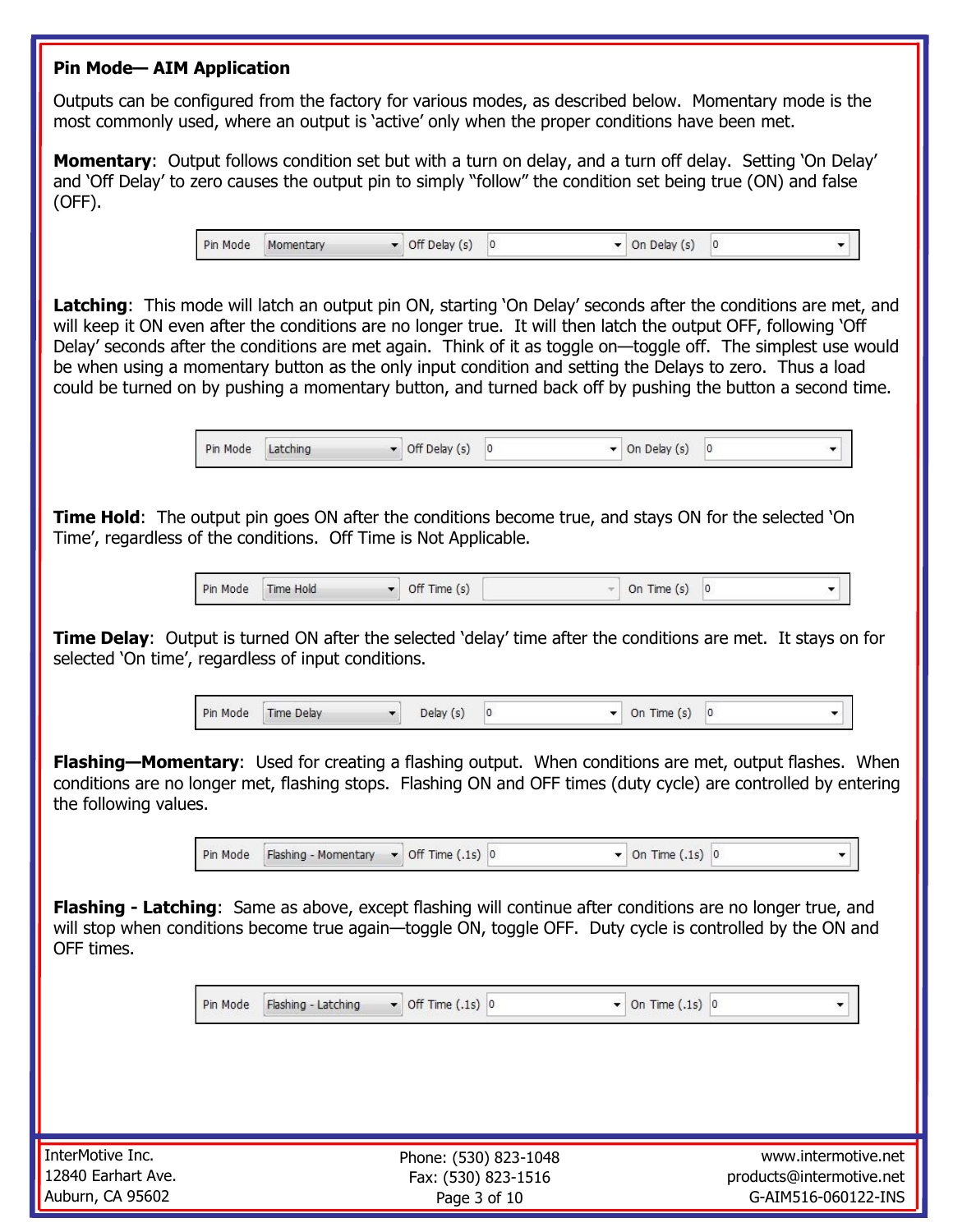#### **Pin Mode— AIM Application**

Outputs can be configured from the factory for various modes, as described below. Momentary mode is the most commonly used, where an output is 'active' only when the proper conditions have been met.

**Momentary**: Output follows condition set but with a turn on delay, and a turn off delay. Setting 'On Delay' and 'Off Delay' to zero causes the output pin to simply "follow" the condition set being true (ON) and false (OFF).

> Pin Mode  $\bullet$  Off Delay (s) 0  $\blacktriangleright$  On Delay (s) 0 Momentary

Latching: This mode will latch an output pin ON, starting 'On Delay' seconds after the conditions are met, and will keep it ON even after the conditions are no longer true. It will then latch the output OFF, following 'Off Delay' seconds after the conditions are met again. Think of it as toggle on—toggle off. The simplest use would be when using a momentary button as the only input condition and setting the Delays to zero. Thus a load could be turned on by pushing a momentary button, and turned back off by pushing the button a second time.

> $\bullet$  Off Delay (s) 0 Pin Mode Latching  $\blacktriangleright$  On Delay (s) 0

**Time Hold**: The output pin goes ON after the conditions become true, and stays ON for the selected 'On Time', regardless of the conditions. Off Time is Not Applicable.

> Pin Mode Time Hold  $\bullet$  Off Time (s) On Time  $(s)$  0

**Time Delay**: Output is turned ON after the selected 'delay' time after the conditions are met. It stays on for selected 'On time', regardless of input conditions.

> Pin Mode Time Delay Delay (s)  $|0\rangle$  $\bullet$  On Time (s) 0  $\blacktriangledown$

**Flashing—Momentary**: Used for creating a flashing output. When conditions are met, output flashes. When conditions are no longer met, flashing stops. Flashing ON and OFF times (duty cycle) are controlled by entering the following values.

> Pin Mode Flashing - Momentary  $\bullet$  Off Time (.1s) 0  $\bullet$  On Time (.1s) 0

**Flashing - Latching**: Same as above, except flashing will continue after conditions are no longer true, and will stop when conditions become true again—toggle ON, toggle OFF. Duty cycle is controlled by the ON and OFF times.

> Pin Mode Flashing - Latching  $\bullet$  Off Time (.1s) 0  $\blacktriangleright$  On Time (.1s) 0

InterMotive Inc. 12840 Earhart Ave. Auburn, CA 95602

Phone: (530) 823-1048 Fax: (530) 823-1516 Page 3 of 10

www.intermotive.net products@intermotive.net G-AIM516-060122-INS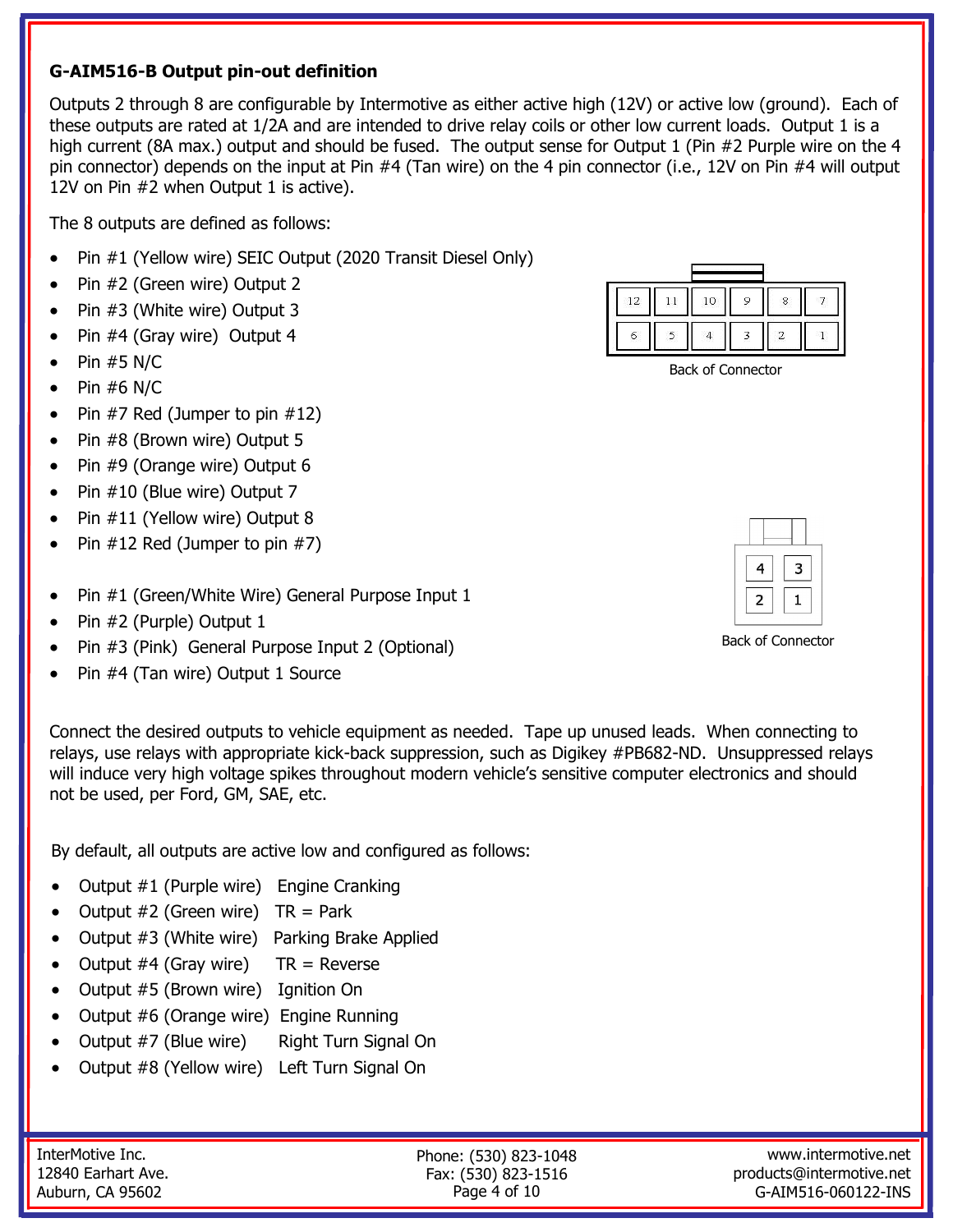### **G-AIM516-B Output pin-out definition**

Outputs 2 through 8 are configurable by Intermotive as either active high (12V) or active low (ground). Each of these outputs are rated at 1/2A and are intended to drive relay coils or other low current loads. Output 1 is a high current (8A max.) output and should be fused. The output sense for Output 1 (Pin #2 Purple wire on the 4 pin connector) depends on the input at Pin #4 (Tan wire) on the 4 pin connector (i.e., 12V on Pin #4 will output 12V on Pin #2 when Output 1 is active).

The 8 outputs are defined as follows:

- Pin #1 (Yellow wire) SEIC Output (2020 Transit Diesel Only)
- Pin #2 (Green wire) Output 2
- Pin #3 (White wire) Output 3
- Pin #4 (Gray wire) Output 4
- $\bullet$  Pin #5 N/C
- Pin  $#6$  N/C
- Pin  $#7$  Red (Jumper to pin  $#12$ )
- Pin #8 (Brown wire) Output 5
- Pin #9 (Orange wire) Output 6
- Pin #10 (Blue wire) Output 7
- Pin #11 (Yellow wire) Output 8
- Pin #12 Red (Jumper to pin #7)
- Pin #1 (Green/White Wire) General Purpose Input 1
- Pin #2 (Purple) Output 1
- Pin #3 (Pink) General Purpose Input 2 (Optional)
- Pin #4 (Tan wire) Output 1 Source

Connect the desired outputs to vehicle equipment as needed. Tape up unused leads. When connecting to relays, use relays with appropriate kick-back suppression, such as Digikey #PB682-ND. Unsuppressed relays will induce very high voltage spikes throughout modern vehicle's sensitive computer electronics and should not be used, per Ford, GM, SAE, etc.

By default, all outputs are active low and configured as follows:

- Output #1 (Purple wire) Engine Cranking
- Output  $#2$  (Green wire)  $TR = Park$
- Output #3 (White wire) Parking Brake Applied
- Output  $#4$  (Gray wire) TR = Reverse
- Output #5 (Brown wire) Ignition On
- Output #6 (Orange wire) Engine Running
- Output #7 (Blue wire) Right Turn Signal On
- Output #8 (Yellow wire) Left Turn Signal On

| r i s |  |  |  |
|-------|--|--|--|
|       |  |  |  |

Back of Connector

| 4 | 3 |
|---|---|
| 2 |   |

Back of Connector

InterMotive Inc. 12840 Earhart Ave. Auburn, CA 95602

Phone: (530) 823-1048 Fax: (530) 823-1516 Page 4 of 10

www.intermotive.net products@intermotive.net G-AIM516-060122-INS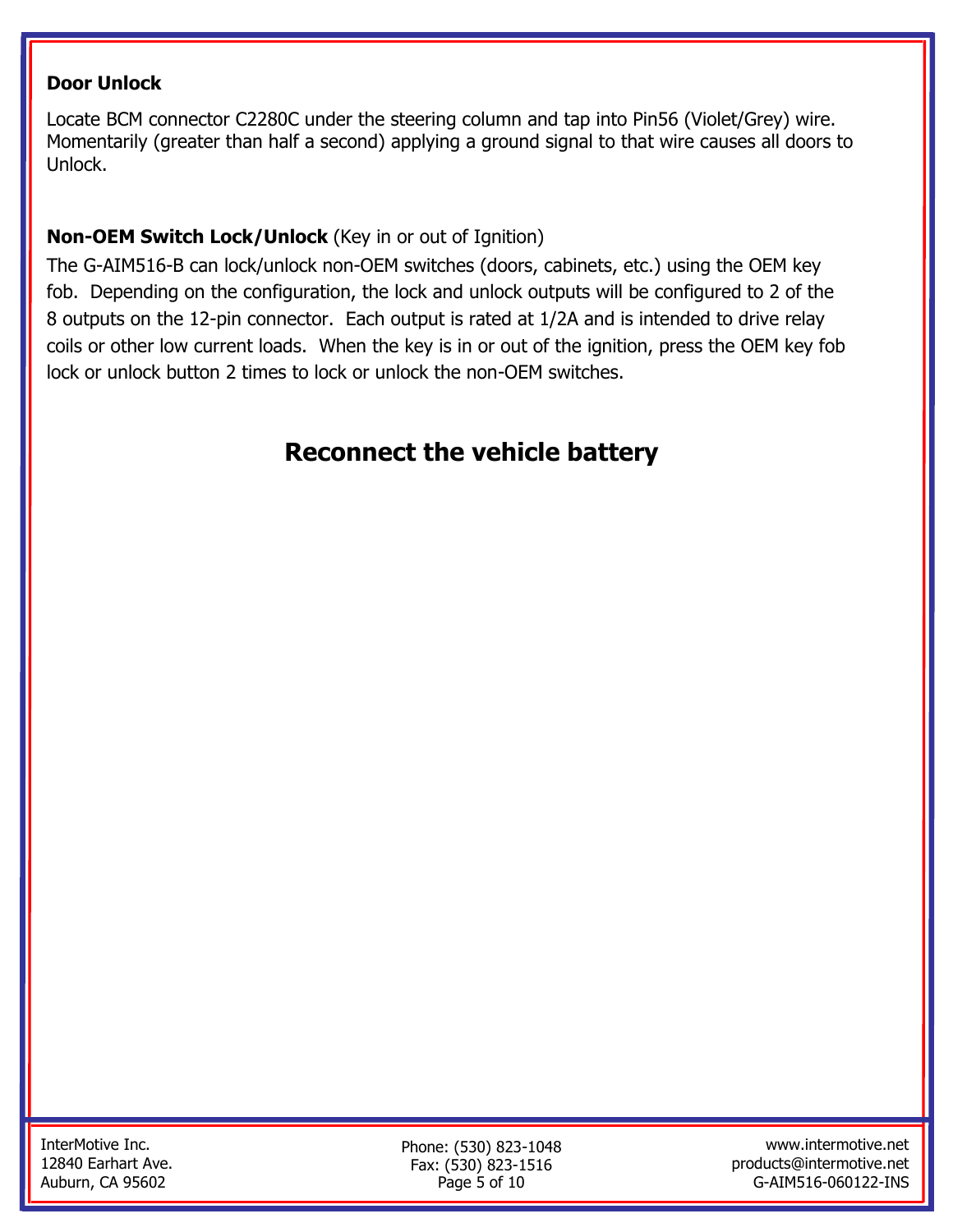# **Door Unlock**

Locate BCM connector C2280C under the steering column and tap into Pin56 (Violet/Grey) wire. Momentarily (greater than half a second) applying a ground signal to that wire causes all doors to Unlock.

# **Non-OEM Switch Lock/Unlock** (Key in or out of Ignition)

The G-AIM516-B can lock/unlock non-OEM switches (doors, cabinets, etc.) using the OEM key fob. Depending on the configuration, the lock and unlock outputs will be configured to 2 of the 8 outputs on the 12-pin connector. Each output is rated at 1/2A and is intended to drive relay coils or other low current loads. When the key is in or out of the ignition, press the OEM key fob lock or unlock button 2 times to lock or unlock the non-OEM switches.

# **Reconnect the vehicle battery**

Phone: (530) 823-1048 Fax: (530) 823-1516 Page 5 of 10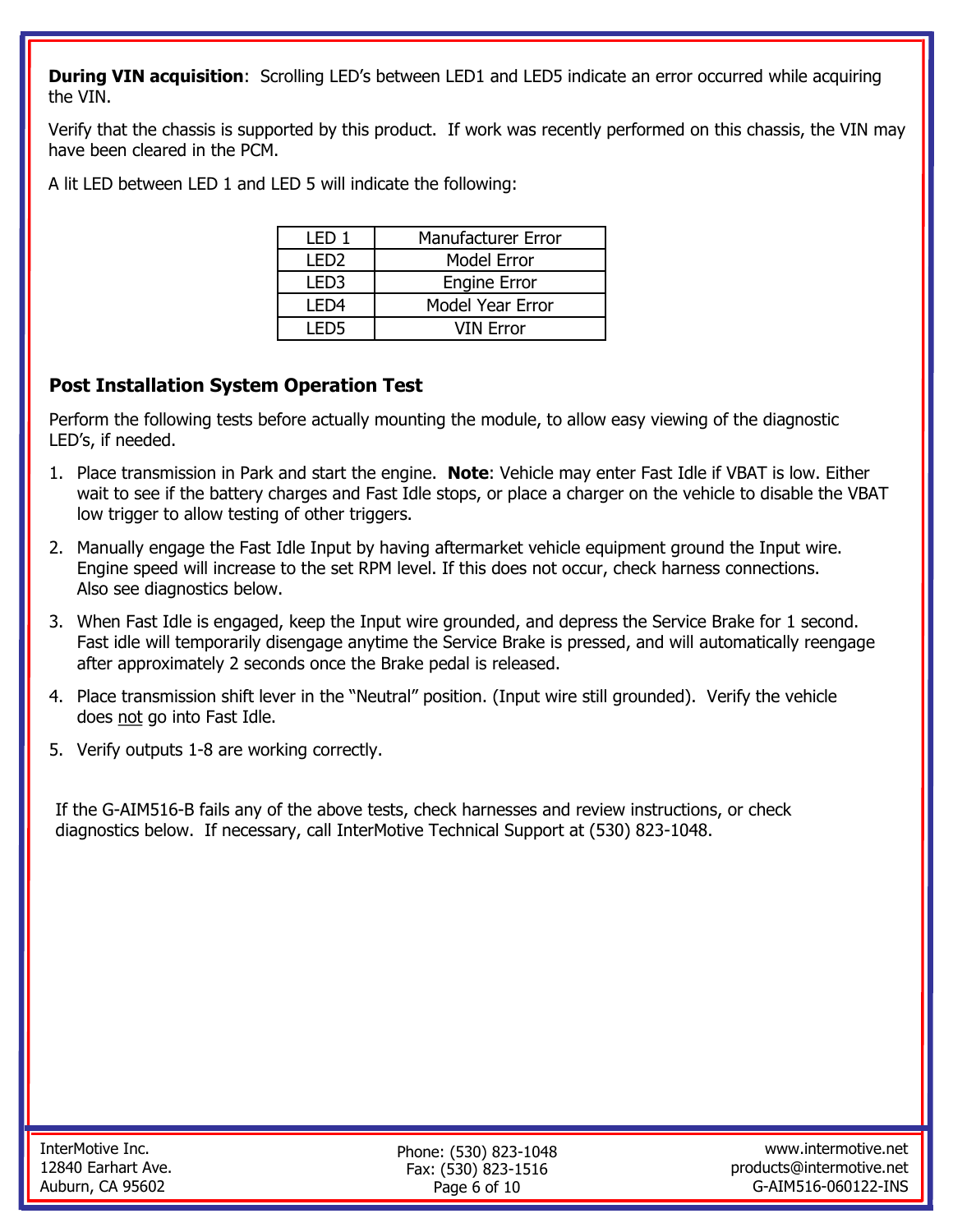**During VIN acquisition:** Scrolling LED's between LED1 and LED5 indicate an error occurred while acquiring the VIN.

Verify that the chassis is supported by this product. If work was recently performed on this chassis, the VIN may have been cleared in the PCM.

A lit LED between LED 1 and LED 5 will indicate the following:

| I FD 1 | <b>Manufacturer Error</b> |
|--------|---------------------------|
| I FD2  | <b>Model Error</b>        |
| I FD3  | <b>Engine Error</b>       |
| I FD4  | <b>Model Year Error</b>   |
| I FD5  | <b>VIN Error</b>          |

# **Post Installation System Operation Test**

Perform the following tests before actually mounting the module, to allow easy viewing of the diagnostic LED's, if needed.

- 1. Place transmission in Park and start the engine. **Note**: Vehicle may enter Fast Idle if VBAT is low. Either wait to see if the battery charges and Fast Idle stops, or place a charger on the vehicle to disable the VBAT low trigger to allow testing of other triggers.
- 2. Manually engage the Fast Idle Input by having aftermarket vehicle equipment ground the Input wire. Engine speed will increase to the set RPM level. If this does not occur, check harness connections. Also see diagnostics below.
- 3. When Fast Idle is engaged, keep the Input wire grounded, and depress the Service Brake for 1 second. Fast idle will temporarily disengage anytime the Service Brake is pressed, and will automatically reengage after approximately 2 seconds once the Brake pedal is released.
- 4. Place transmission shift lever in the "Neutral" position. (Input wire still grounded). Verify the vehicle does not go into Fast Idle.
- 5. Verify outputs 1-8 are working correctly.

If the G-AIM516-B fails any of the above tests, check harnesses and review instructions, or check diagnostics below. If necessary, call InterMotive Technical Support at (530) 823-1048.

Phone: (530) 823-1048 Fax: (530) 823-1516 Page 6 of 10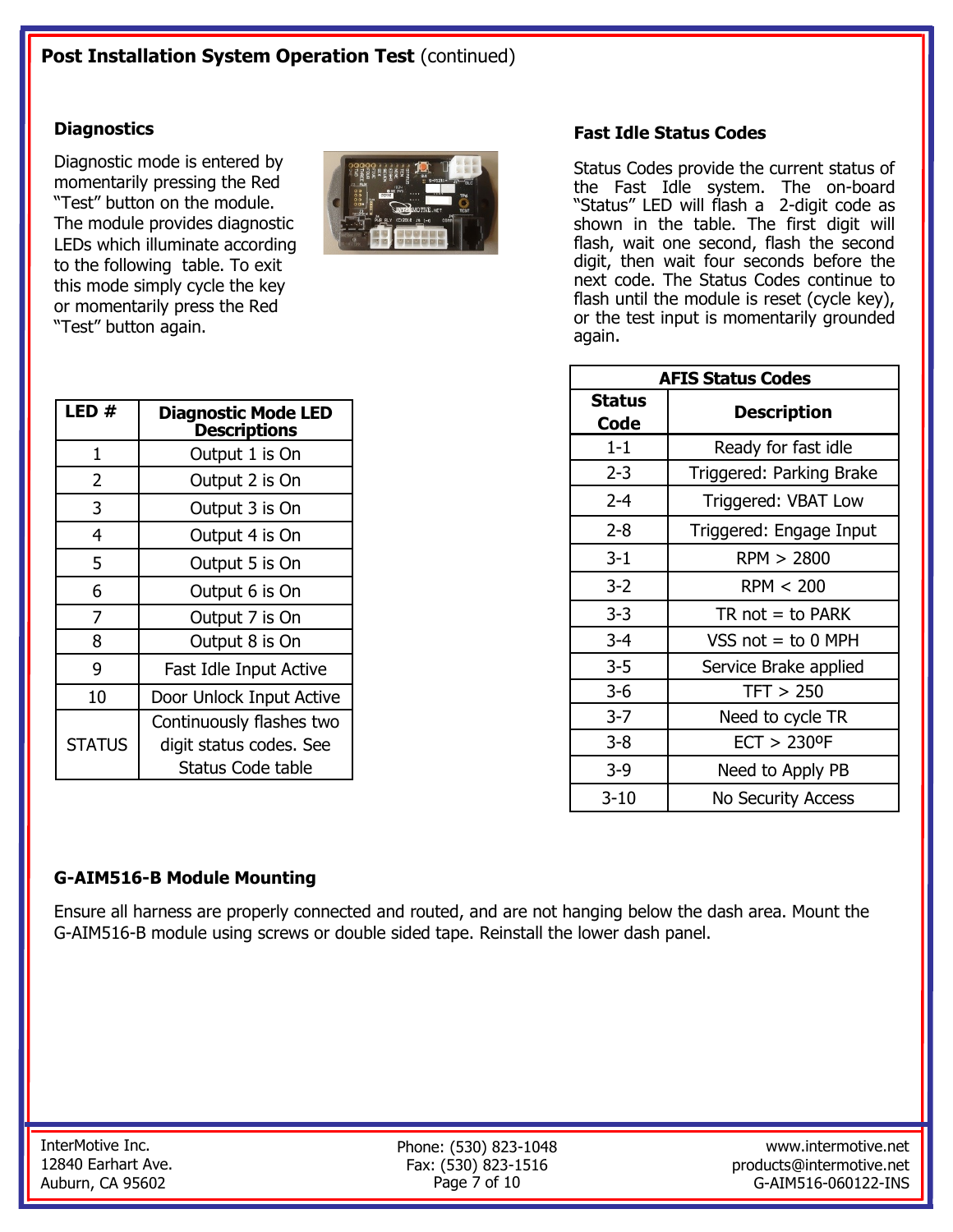### **Diagnostics**

Diagnostic mode is entered by momentarily pressing the Red "Test" button on the module. The module provides diagnostic LEDs which illuminate according to the following table. To exit this mode simply cycle the key or momentarily press the Red "Test" button again.



| LED #         | <b>Diagnostic Mode LED</b><br><b>Descriptions</b> |
|---------------|---------------------------------------------------|
| 1             | Output 1 is On                                    |
| 2             | Output 2 is On                                    |
| 3             | Output 3 is On                                    |
| 4             | Output 4 is On                                    |
| 5             | Output 5 is On                                    |
| 6             | Output 6 is On                                    |
| 7             | Output 7 is On                                    |
| 8             | Output 8 is On                                    |
| 9             | Fast Idle Input Active                            |
| 10            | Door Unlock Input Active                          |
|               | Continuously flashes two                          |
| <b>STATUS</b> | digit status codes. See                           |
|               | Status Code table                                 |

## **Fast Idle Status Codes**

Status Codes provide the current status of the Fast Idle system. The on-board "Status" LED will flash a 2-digit code as shown in the table. The first digit will flash, wait one second, flash the second digit, then wait four seconds before the next code. The Status Codes continue to flash until the module is reset (cycle key), or the test input is momentarily grounded again.

| <b>AFIS Status Codes</b> |                            |  |
|--------------------------|----------------------------|--|
| Status<br>Code           | <b>Description</b>         |  |
| $1 - 1$                  | Ready for fast idle        |  |
| $2 - 3$                  | Triggered: Parking Brake   |  |
| $2 - 4$                  | Triggered: VBAT Low        |  |
| 2-8                      | Triggered: Engage Input    |  |
| $3 - 1$                  | RPM > 2800                 |  |
| $3-2$                    | RPM < 200                  |  |
| $3 - 3$                  | $TR not = to PARK$         |  |
| $3 - 4$                  | VSS $not = to 0$ MPH       |  |
| $3 - 5$                  | Service Brake applied      |  |
| 3-6                      | TFT > 250                  |  |
| $3 - 7$                  | Need to cycle TR           |  |
| 3-8                      | $ECT > 230$ <sup>o</sup> F |  |
| $3-9$                    | Need to Apply PB           |  |
| $3 - 10$                 | <b>No Security Access</b>  |  |

### **G-AIM516-B Module Mounting**

Ensure all harness are properly connected and routed, and are not hanging below the dash area. Mount the G-AIM516-B module using screws or double sided tape. Reinstall the lower dash panel.

Phone: (530) 823-1048 Fax: (530) 823-1516 Page 7 of 10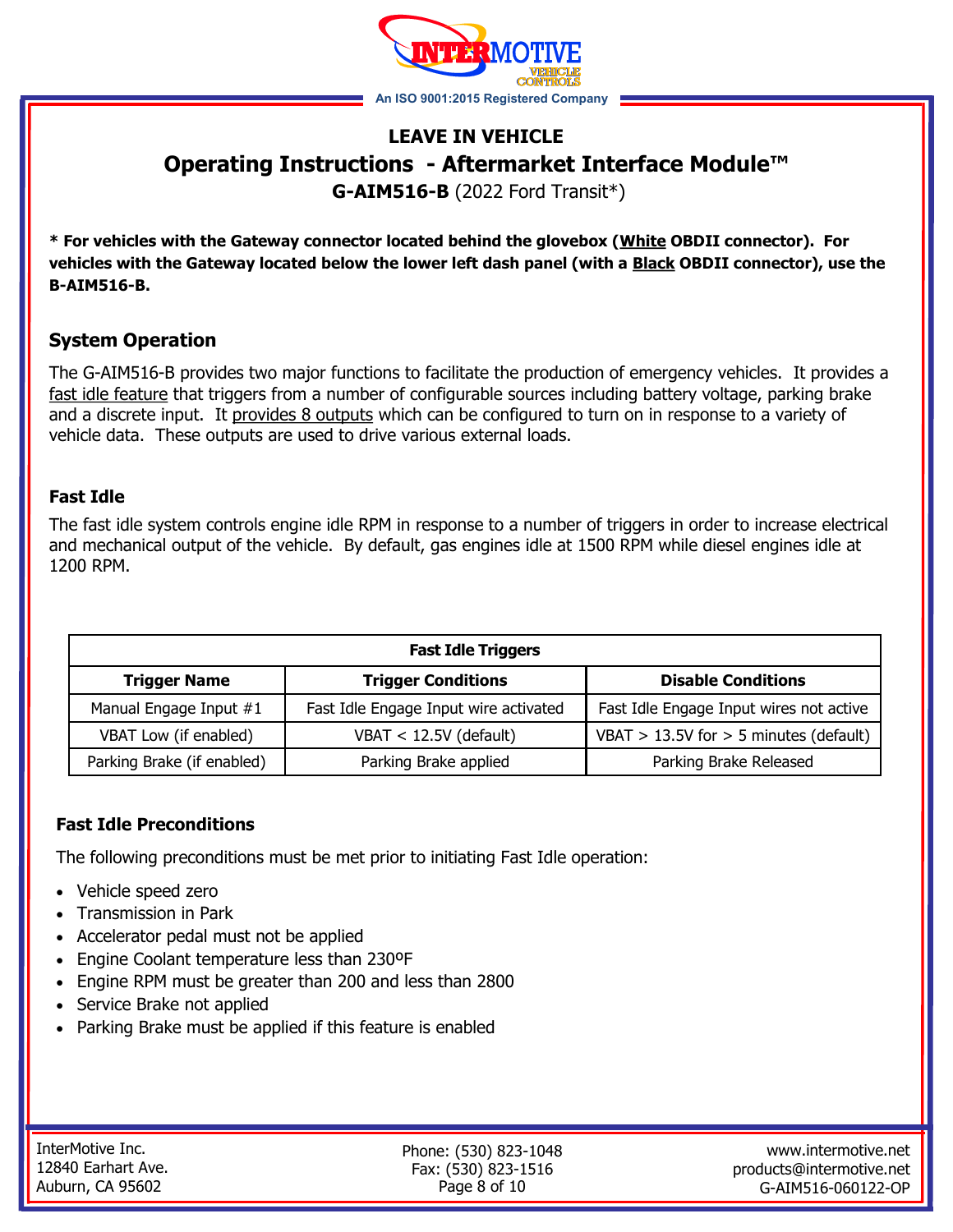

# **LEAVE IN VEHICLE Operating Instructions - Aftermarket Interface Module™**

**G-AIM516-B** (2022 Ford Transit\*)

**\* For vehicles with the Gateway connector located behind the glovebox (White OBDII connector). For vehicles with the Gateway located below the lower left dash panel (with a Black OBDII connector), use the B-AIM516-B.** 

# **System Operation**

The G-AIM516-B provides two major functions to facilitate the production of emergency vehicles. It provides a fast idle feature that triggers from a number of configurable sources including battery voltage, parking brake and a discrete input. It provides 8 outputs which can be configured to turn on in response to a variety of vehicle data. These outputs are used to drive various external loads.

### **Fast Idle**

The fast idle system controls engine idle RPM in response to a number of triggers in order to increase electrical and mechanical output of the vehicle. By default, gas engines idle at 1500 RPM while diesel engines idle at 1200 RPM.

| <b>Fast Idle Triggers</b>  |                                       |                                            |  |
|----------------------------|---------------------------------------|--------------------------------------------|--|
| <b>Trigger Name</b>        | <b>Trigger Conditions</b>             | <b>Disable Conditions</b>                  |  |
| Manual Engage Input #1     | Fast Idle Engage Input wire activated | Fast Idle Engage Input wires not active    |  |
| VBAT Low (if enabled)      | $VBAT < 12.5V$ (default)              | VBAT $> 13.5V$ for $> 5$ minutes (default) |  |
| Parking Brake (if enabled) | Parking Brake applied                 | Parking Brake Released                     |  |

## **Fast Idle Preconditions**

The following preconditions must be met prior to initiating Fast Idle operation:

- Vehicle speed zero
- Transmission in Park
- Accelerator pedal must not be applied
- Engine Coolant temperature less than 230ºF
- Engine RPM must be greater than 200 and less than 2800
- Service Brake not applied
- Parking Brake must be applied if this feature is enabled

| InterMotive Inc.   |
|--------------------|
| 12840 Earhart Ave. |
| Auburn, CA 95602   |

Phone: (530) 823-1048 Fax: (530) 823-1516 Page 8 of 10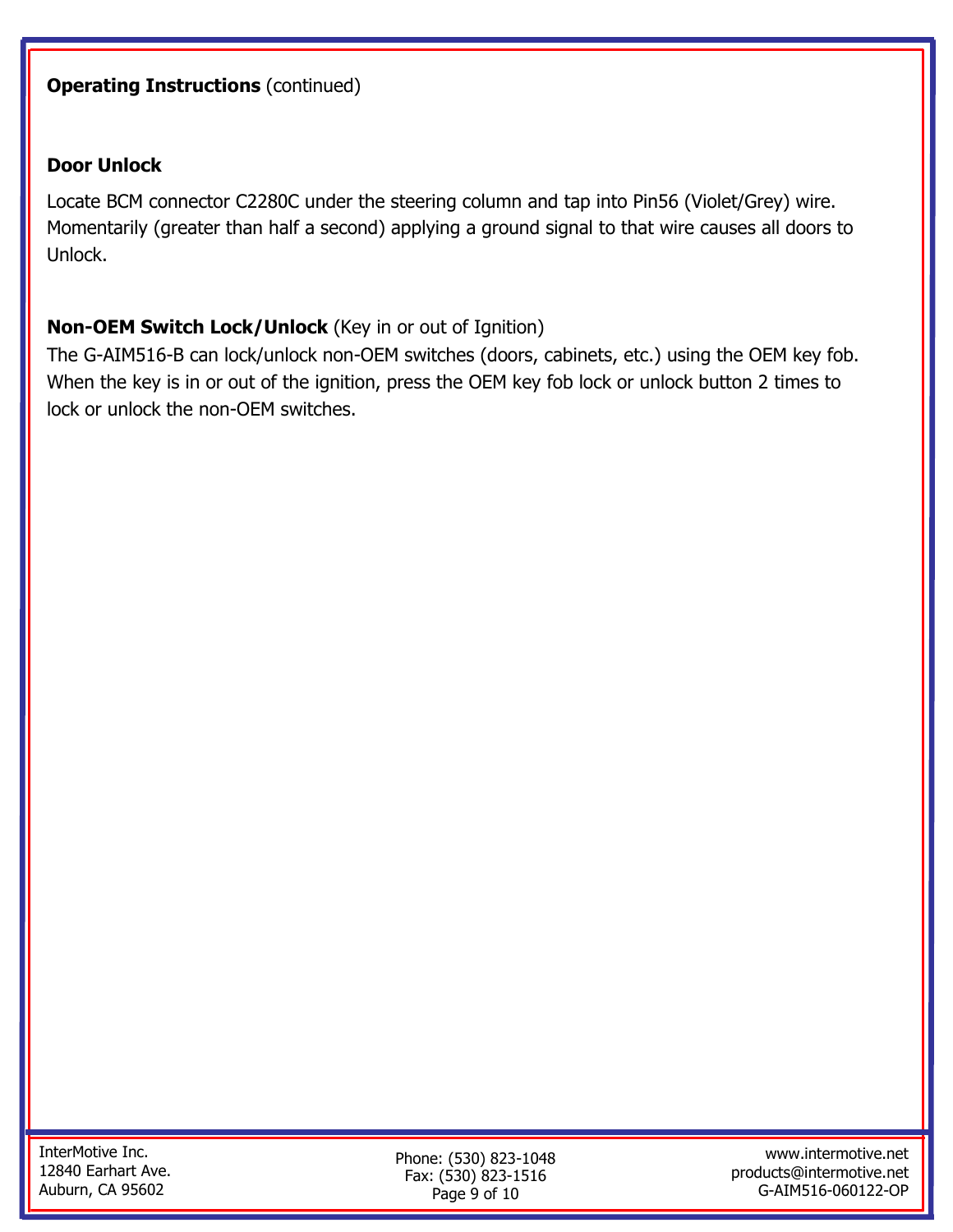# **Operating Instructions (continued)**

## **Door Unlock**

Locate BCM connector C2280C under the steering column and tap into Pin56 (Violet/Grey) wire. Momentarily (greater than half a second) applying a ground signal to that wire causes all doors to Unlock.

# **Non-OEM Switch Lock/Unlock** (Key in or out of Ignition)

The G-AIM516-B can lock/unlock non-OEM switches (doors, cabinets, etc.) using the OEM key fob. When the key is in or out of the ignition, press the OEM key fob lock or unlock button 2 times to lock or unlock the non-OEM switches.

Phone: (530) 823-1048 Fax: (530) 823-1516 Page 9 of 10